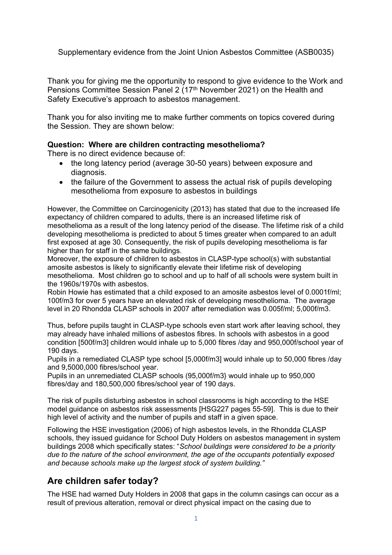Supplementary evidence from the Joint Union Asbestos Committee (ASB0035)

Thank you for giving me the opportunity to respond to give evidence to the Work and Pensions Committee Session Panel 2 (17<sup>th</sup> November 2021) on the Health and Safety Executive's approach to asbestos management.

Thank you for also inviting me to make further comments on topics covered during the Session. They are shown below:

### **Question: Where are children contracting mesothelioma?**

There is no direct evidence because of:

- the long latency period (average 30-50 years) between exposure and diagnosis.
- the failure of the Government to assess the actual risk of pupils developing mesothelioma from exposure to asbestos in buildings

However, the Committee on Carcinogenicity (2013) has stated that due to the increased life expectancy of children compared to adults, there is an increased lifetime risk of mesothelioma as a result of the long latency period of the disease. The lifetime risk of a child developing mesothelioma is predicted to about 5 times greater when compared to an adult first exposed at age 30. Consequently, the risk of pupils developing mesothelioma is far higher than for staff in the same buildings.

Moreover, the exposure of children to asbestos in CLASP-type school(s) with substantial amosite asbestos is likely to significantly elevate their lifetime risk of developing mesothelioma. Most children go to school and up to half of all schools were system built in the 1960s/1970s with asbestos.

Robin Howie has estimated that a child exposed to an amosite asbestos level of 0.0001f/ml; 100f/m3 for over 5 years have an elevated risk of developing mesothelioma. The average level in 20 Rhondda CLASP schools in 2007 after remediation was 0.005f/ml; 5,000f/m3.

Thus, before pupils taught in CLASP-type schools even start work after leaving school, they may already have inhaled millions of asbestos fibres. In schools with asbestos in a good condition [500f/m3] children would inhale up to 5,000 fibres /day and 950,000f/school year of 190 days.

Pupils in a remediated CLASP type school [5,000f/m3] would inhale up to 50,000 fibres /day and 9,5000,000 fibres/school year.

Pupils in an unremediated CLASP schools (95,000f/m3} would inhale up to 950,000 fibres/day and 180,500,000 fibres/school year of 190 days.

The risk of pupils disturbing asbestos in school classrooms is high according to the HSE model guidance on asbestos risk assessments [HSG227 pages 55-59]. This is due to their high level of activity and the number of pupils and staff in a given space.

Following the HSE investigation (2006) of high asbestos levels, in the Rhondda CLASP schools, they issued guidance for School Duty Holders on asbestos management in system buildings 2008 which specifically states: "*School buildings were considered to be a priority due to the nature of the school environment, the age of the occupants potentially exposed and because schools make up the largest stock of system building."*

# **Are children safer today?**

The HSE had warned Duty Holders in 2008 that gaps in the column casings can occur as a result of previous alteration, removal or direct physical impact on the casing due to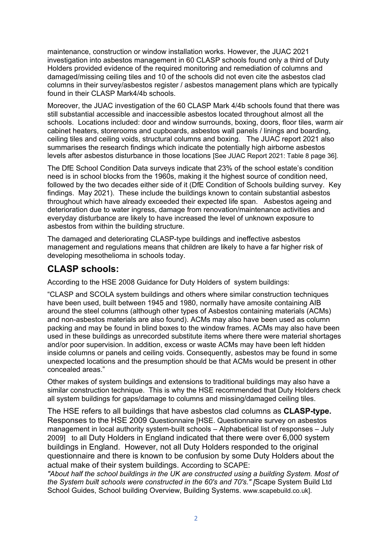maintenance, construction or window installation works. However, the JUAC 2021 investigation into asbestos management in 60 CLASP schools found only a third of Duty Holders provided evidence of the required monitoring and remediation of columns and damaged/missing ceiling tiles and 10 of the schools did not even cite the asbestos clad columns in their survey/asbestos register / asbestos management plans which are typically found in their CLASP Mark4/4b schools.

Moreover, the JUAC investigation of the 60 CLASP Mark 4/4b schools found that there was still substantial accessible and inaccessible asbestos located throughout almost all the schools. Locations included: door and window surrounds, boxing, doors, floor tiles, warm air cabinet heaters, storerooms and cupboards, asbestos wall panels / linings and boarding, ceiling tiles and ceiling voids, structural columns and boxing. The JUAC report 2021 also summarises the research findings which indicate the potentially high airborne asbestos levels after asbestos disturbance in those locations [See JUAC Report 2021: Table 8 page 36].

The DfE School Condition Data surveys indicate that 23% of the school estate's condition need is in school blocks from the 1960s, making it the highest source of condition need, followed by the two decades either side of it (DfE Condition of Schools building survey. Key findings. May 2021). These include the buildings known to contain substantial asbestos throughout which have already exceeded their expected life span. Asbestos ageing and deterioration due to water ingress, damage from renovation/maintenance activities and everyday disturbance are likely to have increased the level of unknown exposure to asbestos from within the building structure.

The damaged and deteriorating CLASP-type buildings and ineffective asbestos management and regulations means that children are likely to have a far higher risk of developing mesothelioma in schools today.

## **CLASP schools:**

According to the HSE 2008 Guidance for Duty Holders of system buildings:

"CLASP and SCOLA system buildings and others where similar construction techniques have been used, built between 1945 and 1980, normally have amosite containing AIB around the steel columns (although other types of Asbestos containing materials (ACMs) and non-asbestos materials are also found). ACMs may also have been used as column packing and may be found in blind boxes to the window frames. ACMs may also have been used in these buildings as unrecorded substitute items where there were material shortages and/or poor supervision. In addition, excess or waste ACMs may have been left hidden inside columns or panels and ceiling voids. Consequently, asbestos may be found in some unexpected locations and the presumption should be that ACMs would be present in other concealed areas."

Other makes of system buildings and extensions to traditional buildings may also have a similar construction technique. This is why the HSE recommended that Duty Holders check all system buildings for gaps/damage to columns and missing/damaged ceiling tiles.

The HSE refers to all buildings that have asbestos clad columns as **CLASP-type.** Responses to the HSE 2009 Questionnaire [HSE. Questionnaire survey on asbestos management in local authority system-built schools – Alphabetical list of responses – July 2009] to all Duty Holders in England indicated that there were over 6,000 system buildings in England. However, not all Duty Holders responded to the original questionnaire and there is known to be confusion by some Duty Holders about the actual make of their system buildings. According to SCAPE:

*"About half the school buildings in the UK are constructed using a building System. Most of the System built schools were constructed in the 60's and 70's." [*Scape System Build Ltd School Guides, School building Overview, Building Systems. www.scapebuild.co.uk].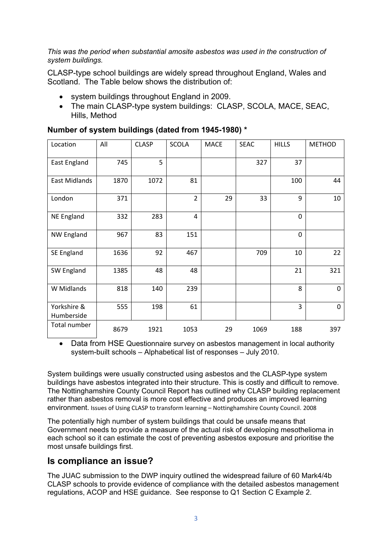*This was the period when substantial amosite asbestos was used in the construction of system buildings.*

CLASP-type school buildings are widely spread throughout England, Wales and Scotland. The Table below shows the distribution of:

- system buildings throughout England in 2009.
- The main CLASP-type system buildings: CLASP, SCOLA, MACE, SEAC, Hills, Method

| Location                  | All  | <b>CLASP</b> | <b>SCOLA</b>   | <b>MACE</b> | <b>SEAC</b> | <b>HILLS</b> | <b>METHOD</b> |
|---------------------------|------|--------------|----------------|-------------|-------------|--------------|---------------|
| <b>East England</b>       | 745  | 5            |                |             | 327         | 37           |               |
| East Midlands             | 1870 | 1072         | 81             |             |             | 100          | 44            |
| London                    | 371  |              | $\overline{2}$ | 29          | 33          | 9            | 10            |
| <b>NE England</b>         | 332  | 283          | 4              |             |             | $\mathbf 0$  |               |
| <b>NW England</b>         | 967  | 83           | 151            |             |             | $\mathbf 0$  |               |
| SE England                | 1636 | 92           | 467            |             | 709         | 10           | 22            |
| SW England                | 1385 | 48           | 48             |             |             | 21           | 321           |
| W Midlands                | 818  | 140          | 239            |             |             | 8            | 0             |
| Yorkshire &<br>Humberside | 555  | 198          | 61             |             |             | 3            | $\mathbf 0$   |
| Total number              | 8679 | 1921         | 1053           | 29          | 1069        | 188          | 397           |

#### **Number of system buildings (dated from 1945-1980) \***

 Data from HSE Questionnaire survey on asbestos management in local authority system-built schools – Alphabetical list of responses – July 2010.

System buildings were usually constructed using asbestos and the CLASP-type system buildings have asbestos integrated into their structure. This is costly and difficult to remove. The Nottinghamshire County Council Report has outlined why CLASP building replacement rather than asbestos removal is more cost effective and produces an improved learning environment. Issues of Using CLASP to transform learning – Nottinghamshire County Council. 2008

The potentially high number of system buildings that could be unsafe means that Government needs to provide a measure of the actual risk of developing mesothelioma in each school so it can estimate the cost of preventing asbestos exposure and prioritise the most unsafe buildings first.

## **Is compliance an issue?**

The JUAC submission to the DWP inquiry outlined the widespread failure of 60 Mark4/4b CLASP schools to provide evidence of compliance with the detailed asbestos management regulations, ACOP and HSE guidance. See response to Q1 Section C Example 2.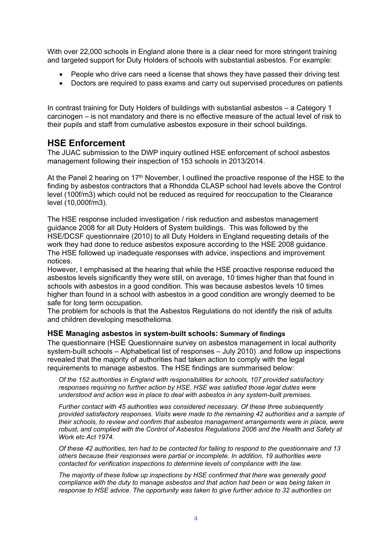With over 22,000 schools in England alone there is a clear need for more stringent training and targeted support for Duty Holders of schools with substantial asbestos. For example:

- People who drive cars need a license that shows they have passed their driving test
- Doctors are required to pass exams and carry out supervised procedures on patients

In contrast training for Duty Holders of buildings with substantial asbestos – a Category 1 carcinogen – is not mandatory and there is no effective measure of the actual level of risk to their pupils and staff from cumulative asbestos exposure in their school buildings.

### **HSE Enforcement**

The JUAC submission to the DWP inquiry outlined HSE enforcement of school asbestos management following their inspection of 153 schools in 2013/2014.

At the Panel 2 hearing on 17<sup>th</sup> November, I outlined the proactive response of the HSE to the finding by asbestos contractors that a Rhondda CLASP school had levels above the Control level (100f/m3) which could not be reduced as required for reoccupation to the Clearance level (10,000f/m3).

The HSE response included investigation / risk reduction and asbestos management guidance 2008 for all Duty Holders of System buildings. This was followed by the HSE/DCSF questionnaire (2010) to all Duty Holders in England requesting details of the work they had done to reduce asbestos exposure according to the HSE 2008 guidance. The HSE followed up inadequate responses with advice, inspections and improvement notices.

However, I emphasised at the hearing that while the HSE proactive response reduced the asbestos levels significantly they were still, on average, 10 times higher than that found in schools with asbestos in a good condition. This was because asbestos levels 10 times higher than found in a school with asbestos in a good condition are wrongly deemed to be safe for long term occupation.

The problem for schools is that the Asbestos Regulations do not identify the risk of adults and children developing mesothelioma.

#### **HSE Managing asbestos in system-built schools: Summary of findings**

The questionnaire (HSE Questionnaire survey on asbestos management in local authority system-built schools – Alphabetical list of responses – July 2010) .and follow up inspections revealed that the majority of authorities had taken action to comply with the legal requirements to manage asbestos. The HSE findings are summarised below:

*Of the 152 authorities in England with responsibilities for schools, 107 provided satisfactory responses requiring no further action by HSE. HSE was satisfied those legal duties were understood and action was in place to deal with asbestos in any system-built premises.*

*Further contact with 45 authorities was considered necessary. Of these three subsequently provided satisfactory responses. Visits were made to the remaining 42 authorities and a sample of their schools, to review and confirm that asbestos management arrangements were in place, were robust, and complied with the Control of Asbestos Regulations 2006 and the Health and Safety at Work etc Act 1974.*

Of these 42 authorities, ten had to be contacted for failing to respond to the questionnaire and 13 *others because their responses were partial or incomplete. In addition, 19 authorities were contacted for verification inspections to determine levels of compliance with the law.*

*The majority of these follow up inspections by HSE confirmed that there was generally good compliance with the duty to manage asbestos and that action had been or was being taken in response to HSE advice. The opportunity was taken to give further advice to 32 authorities on*